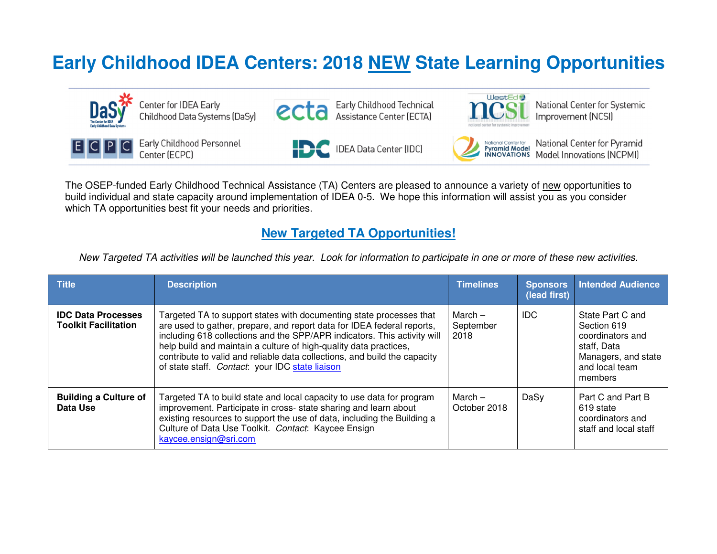## **Early Childhood IDEA Centers: 2018 NEW State Learning Opportunities**



The OSEP-funded Early Childhood Technical Assistance (TA) Centers are pleased to announce a variety of new opportunities to build individual and state capacity around implementation of IDEA 0-5. We hope this information will assist you as you consider which TA opportunities best fit your needs and priorities.

## **New Targeted TA Opportunities!**

*New Targeted TA activities will be launched this year. Look for information to participate in one or more of these new activities.* 

| <b>Title</b>                                             | <b>Description</b>                                                                                                                                                                                                                                                                                                                                                                                                             | <b>Timelines</b>             | <b>Sponsors</b><br>(lead first) | <b>Intended Audience</b>                                                                                               |
|----------------------------------------------------------|--------------------------------------------------------------------------------------------------------------------------------------------------------------------------------------------------------------------------------------------------------------------------------------------------------------------------------------------------------------------------------------------------------------------------------|------------------------------|---------------------------------|------------------------------------------------------------------------------------------------------------------------|
| <b>IDC Data Processes</b><br><b>Toolkit Facilitation</b> | Targeted TA to support states with documenting state processes that<br>are used to gather, prepare, and report data for IDEA federal reports,<br>including 618 collections and the SPP/APR indicators. This activity will<br>help build and maintain a culture of high-quality data practices,<br>contribute to valid and reliable data collections, and build the capacity<br>of state staff. Contact: your IDC state liaison | March –<br>September<br>2018 | IDC.                            | State Part C and<br>Section 619<br>coordinators and<br>staff, Data<br>Managers, and state<br>and local team<br>members |
| <b>Building a Culture of</b><br>Data Use                 | Targeted TA to build state and local capacity to use data for program<br>improvement. Participate in cross- state sharing and learn about<br>existing resources to support the use of data, including the Building a<br>Culture of Data Use Toolkit. Contact: Kaycee Ensign<br>kaycee.ensign@sri.com                                                                                                                           | March $-$<br>October 2018    | DaSy                            | Part C and Part B<br>619 state<br>coordinators and<br>staff and local staff                                            |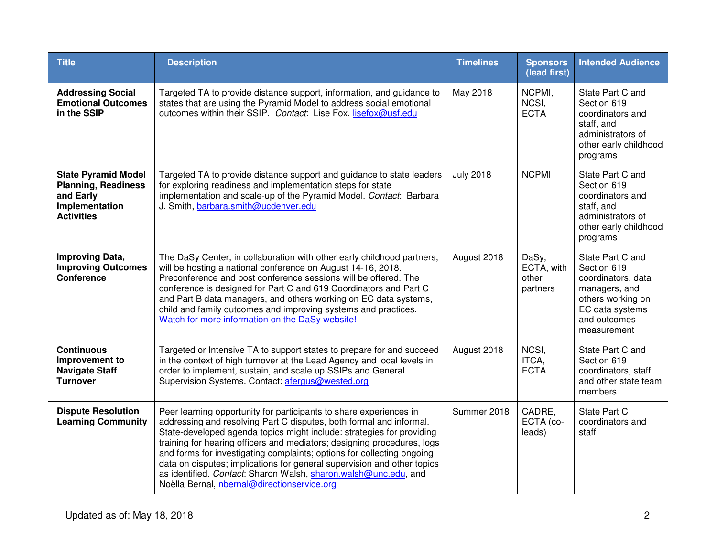| <b>Title</b>                                                                                                 | <b>Description</b>                                                                                                                                                                                                                                                                                                                                                                                                                                                                                                                                                   | <b>Timelines</b> | <b>Sponsors</b><br>(lead first)          | <b>Intended Audience</b>                                                                                                                      |
|--------------------------------------------------------------------------------------------------------------|----------------------------------------------------------------------------------------------------------------------------------------------------------------------------------------------------------------------------------------------------------------------------------------------------------------------------------------------------------------------------------------------------------------------------------------------------------------------------------------------------------------------------------------------------------------------|------------------|------------------------------------------|-----------------------------------------------------------------------------------------------------------------------------------------------|
| <b>Addressing Social</b><br><b>Emotional Outcomes</b><br>in the SSIP                                         | Targeted TA to provide distance support, information, and guidance to<br>states that are using the Pyramid Model to address social emotional<br>outcomes within their SSIP. Contact: Lise Fox, lisefox@usf.edu                                                                                                                                                                                                                                                                                                                                                       | May 2018         | NCPMI,<br>NCSI,<br><b>ECTA</b>           | State Part C and<br>Section 619<br>coordinators and<br>staff, and<br>administrators of<br>other early childhood<br>programs                   |
| <b>State Pyramid Model</b><br><b>Planning, Readiness</b><br>and Early<br>Implementation<br><b>Activities</b> | Targeted TA to provide distance support and guidance to state leaders<br>for exploring readiness and implementation steps for state<br>implementation and scale-up of the Pyramid Model. Contact: Barbara<br>J. Smith, barbara.smith@ucdenver.edu                                                                                                                                                                                                                                                                                                                    | <b>July 2018</b> | <b>NCPMI</b>                             | State Part C and<br>Section 619<br>coordinators and<br>staff, and<br>administrators of<br>other early childhood<br>programs                   |
| <b>Improving Data,</b><br><b>Improving Outcomes</b><br><b>Conference</b>                                     | The DaSy Center, in collaboration with other early childhood partners,<br>will be hosting a national conference on August 14-16, 2018.<br>Preconference and post conference sessions will be offered. The<br>conference is designed for Part C and 619 Coordinators and Part C<br>and Part B data managers, and others working on EC data systems,<br>child and family outcomes and improving systems and practices.<br>Watch for more information on the DaSy website!                                                                                              | August 2018      | DaSy,<br>ECTA, with<br>other<br>partners | State Part C and<br>Section 619<br>coordinators, data<br>managers, and<br>others working on<br>EC data systems<br>and outcomes<br>measurement |
| <b>Continuous</b><br>Improvement to<br><b>Navigate Staff</b><br><b>Turnover</b>                              | Targeted or Intensive TA to support states to prepare for and succeed<br>in the context of high turnover at the Lead Agency and local levels in<br>order to implement, sustain, and scale up SSIPs and General<br>Supervision Systems. Contact: afergus@wested.org                                                                                                                                                                                                                                                                                                   | August 2018      | NCSI,<br>ITCA,<br><b>ECTA</b>            | State Part C and<br>Section 619<br>coordinators, staff<br>and other state team<br>members                                                     |
| <b>Dispute Resolution</b><br><b>Learning Community</b>                                                       | Peer learning opportunity for participants to share experiences in<br>addressing and resolving Part C disputes, both formal and informal.<br>State-developed agenda topics might include: strategies for providing<br>training for hearing officers and mediators; designing procedures, logs<br>and forms for investigating complaints; options for collecting ongoing<br>data on disputes; implications for general supervision and other topics<br>as identified. Contact: Sharon Walsh, sharon.walsh@unc.edu, and<br>Noëlla Bernal, nbernal@directionservice.org | Summer 2018      | CADRE,<br>ECTA (co-<br>leads)            | State Part C<br>coordinators and<br>staff                                                                                                     |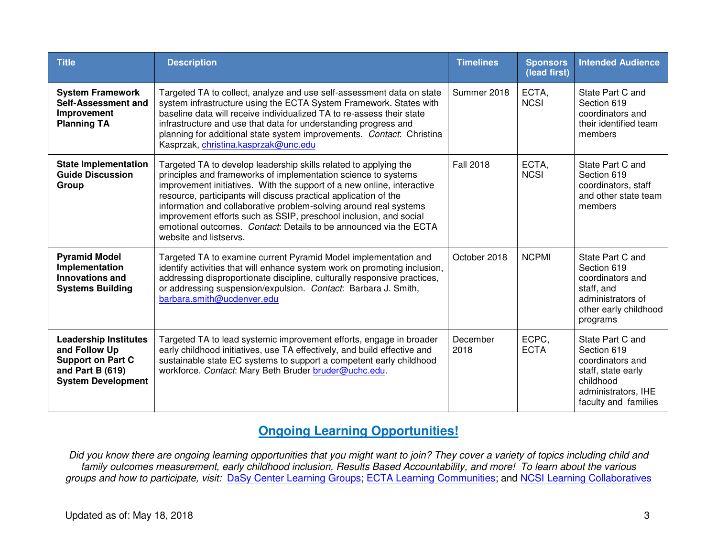| <b>Title</b>                                                                                                               | <b>Description</b>                                                                                                                                                                                                                                                                                                                                                                                                                                                                                                        | <b>Timelines</b> | <b>Sponsors</b><br>(lead first) | <b>Intended Audience</b>                                                                                                              |
|----------------------------------------------------------------------------------------------------------------------------|---------------------------------------------------------------------------------------------------------------------------------------------------------------------------------------------------------------------------------------------------------------------------------------------------------------------------------------------------------------------------------------------------------------------------------------------------------------------------------------------------------------------------|------------------|---------------------------------|---------------------------------------------------------------------------------------------------------------------------------------|
| <b>System Framework</b><br>Self-Assessment and<br>Improvement<br><b>Planning TA</b>                                        | Targeted TA to collect, analyze and use self-assessment data on state<br>system infrastructure using the ECTA System Framework. States with<br>baseline data will receive individualized TA to re-assess their state<br>infrastructure and use that data for understanding progress and<br>planning for additional state system improvements. Contact: Christina<br>Kasprzak, christina.kasprzak@unc.edu                                                                                                                  | Summer 2018      | ECTA,<br><b>NCSI</b>            | State Part C and<br>Section 619<br>coordinators and<br>their identified team<br>members                                               |
| <b>State Implementation</b><br><b>Guide Discussion</b><br>Group                                                            | Targeted TA to develop leadership skills related to applying the<br>principles and frameworks of implementation science to systems<br>improvement initiatives. With the support of a new online, interactive<br>resource, participants will discuss practical application of the<br>information and collaborative problem-solving around real systems<br>improvement efforts such as SSIP, preschool inclusion, and social<br>emotional outcomes. Contact: Details to be announced via the ECTA<br>website and listservs. | <b>Fall 2018</b> | ECTA,<br><b>NCSI</b>            | State Part C and<br>Section 619<br>coordinators, staff<br>and other state team<br>members                                             |
| <b>Pyramid Model</b><br>Implementation<br><b>Innovations and</b><br><b>Systems Building</b>                                | Targeted TA to examine current Pyramid Model implementation and<br>identify activities that will enhance system work on promoting inclusion,<br>addressing disproportionate discipline, culturally responsive practices,<br>or addressing suspension/expulsion. Contact: Barbara J. Smith,<br>barbara.smith@ucdenver.edu                                                                                                                                                                                                  | October 2018     | <b>NCPMI</b>                    | State Part C and<br>Section 619<br>coordinators and<br>staff, and<br>administrators of<br>other early childhood<br>programs           |
| <b>Leadership Institutes</b><br>and Follow Up<br><b>Support on Part C</b><br>and Part B (619)<br><b>System Development</b> | Targeted TA to lead systemic improvement efforts, engage in broader<br>early childhood initiatives, use TA effectively, and build effective and<br>sustainable state EC systems to support a competent early childhood<br>workforce. Contact: Mary Beth Bruder bruder@uchc.edu.                                                                                                                                                                                                                                           | December<br>2018 | ECPC,<br><b>ECTA</b>            | State Part C and<br>Section 619<br>coordinators and<br>staff, state early<br>childhood<br>administrators, IHE<br>faculty and families |

## **Ongoing Learning Opportunities!**

*Did you know there are ongoing learning opportunities that you might want to join? They cover a variety of topics including child and family outcomes measurement, early childhood inclusion, Results Based Accountability, and more! To learn about the various groups and how to participate, visit:* DaSy Center Learning Groups; ECTA Learning Communities; and NCSI Learning Collaboratives